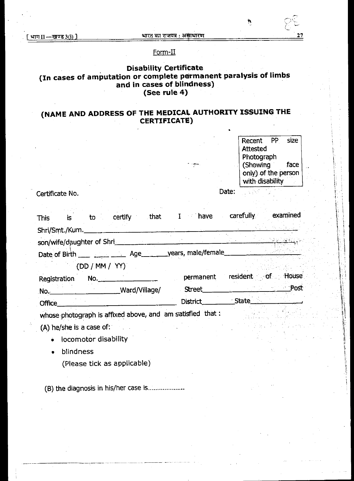## Form-H

## **Disability Certificate (In cases of amputation or complete permanent paralysis of limbs and in cases of blindness) (See rule 4)**

## **(NAME AND ADDRESS OF THE MEDICAL. AUTHORITY ISSUING THE CERTIFICATE)**

| Recent              | .PP | size |
|---------------------|-----|------|
| <b>Attested</b>     |     |      |
| Photograph          |     |      |
| (Showing            |     | face |
| only) of the person |     |      |
| with disability     |     |      |
|                     |     |      |

Certificate No. Date:

•

This is to certify that I have carefully examined Shri/Smt./Kum. son/wife/daughter of Shri

Date of Birth \_\_\_ \_\_\_\_ \_\_\_ Age \_\_ \_\_ years, male/female

(DD / MM / VY)

| Registration  | No.           | permanent       | House<br>resident of |
|---------------|---------------|-----------------|----------------------|
| No.           | Ward/Village/ | Street          | Post                 |
| <b>Office</b> |               | <b>District</b> | <b>State</b>         |

whose photograph is affixed above, and am satisfied that:

(A) he/she is a case of:

- locomotor disability
- blindness
	- (Please tick as applicable)

(B) the diagnosis in his/her case is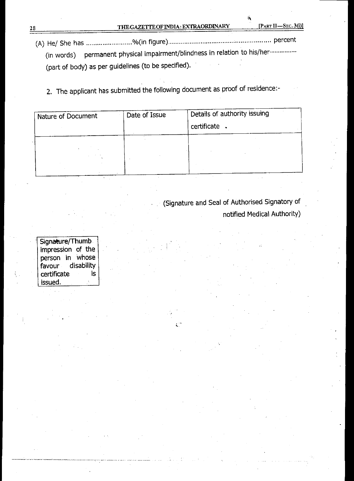(A) He/ She has 0/0(in figure) percent (in words) permanent physical impairment/blindness in relation to his/her (part of body) as per guidelines (to be specified).

2. The applicant has submitted the following document as proof of residence:-

| Nature of Document | Date of Issue | Details of authority issuing |  |  |
|--------------------|---------------|------------------------------|--|--|
|                    |               | certificate                  |  |  |
|                    |               |                              |  |  |
|                    |               |                              |  |  |
|                    |               |                              |  |  |
|                    |               |                              |  |  |

(Signature and Seal of Authorised Signatory of notified Medical Authority)

Signature/Thumb impression of the person in whose<br>favour disability disability certificate is issued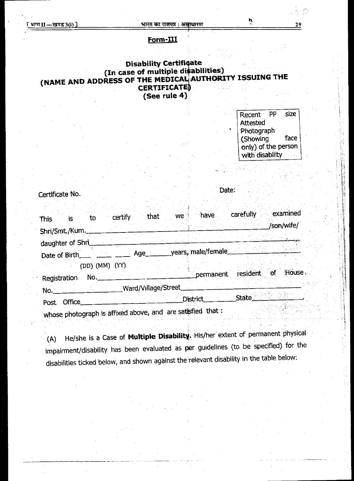## **Form-III**

## **Disability Certifioate (In case of multiple diSabilities) (NAME AND ADDRESS OF THE MEDICAL AUTHORITY ISSUING THE CERTIFICATE (See rule 4)**

Recent PP size Attested Photograph (Showing face only) of the person with disability

## Certificate No. Date:

| to<br><b>This</b><br>is :                                                   | that<br>certify | have<br>$^{\circ}$ we $^{\circ}$ . | examined<br>carefully       |
|-----------------------------------------------------------------------------|-----------------|------------------------------------|-----------------------------|
| Shri/Smt./Kum._______                                                       |                 |                                    | /son/wife/                  |
| daughter of Shri                                                            |                 |                                    |                             |
| Date of Birth $\frac{\phantom{1}}{2}$ $\frac{\phantom{1}}{2}$ $\phantom{1}$ | Age             |                                    | years, male/female          |
| (DD) (MM) (YY)<br>No.<br>Registration                                       |                 | permanent                          | resident of<br><b>House</b> |
| No.__________________                                                       |                 | Ward/Village/Street                |                             |
| <b>Office</b><br><b>Post</b>                                                |                 | <b>District</b>                    | State                       |
| whose photograph is affixed above, and are satisfied that:                  |                 |                                    |                             |

(A) He/she is a Case of **Multiple Disability.** His/her extent of permanent physical impairment/disability has been evaluated as per guidelines (to be specified) for the disabilities ticked below, and shown against the relevant disability in the table below:

O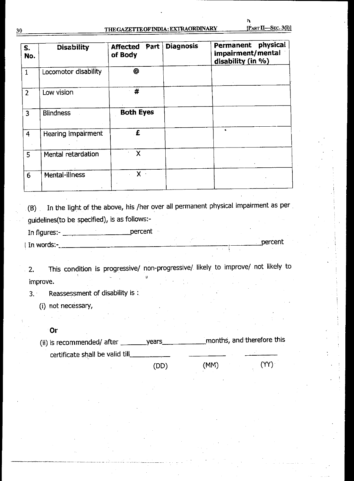| S.<br>No.       | <b>Disability</b>    | Part<br><b>Affected</b><br>of Body | <b>Diagnosis</b> | physical<br>Permanent<br>impairment/mental<br>disability (in %) |
|-----------------|----------------------|------------------------------------|------------------|-----------------------------------------------------------------|
| $\mathbf{1}$    | Locomotor disability |                                    |                  |                                                                 |
| $\overline{2}$  | Low vision           | #                                  |                  |                                                                 |
| $\overline{3}$  | <b>Blindness</b>     | <b>Both Eyes</b>                   |                  |                                                                 |
| $\overline{4}$  | Hearing impairment   | £                                  |                  |                                                                 |
| 5               | Mental retardation   | χ                                  |                  |                                                                 |
| $6\phantom{1}6$ | Mental-illness       | $X$ .                              |                  |                                                                 |

(B) In the light of the above, his /her over all permanent physical impairment as per guidelines(to be specified), is as follows:-

In figures:- percent

I In words:- percent

2. This condition is progressive/ non-progressive/ likely to improve/ not likely to improve.

3. Reassessment of disability is :

(i) not necessary,

**Or** 

 $(ii)$  is recommended/ after  $\_\_\_\_\$ years certificate shall be valid till months, and therefore this

(DD) (MM) (YY)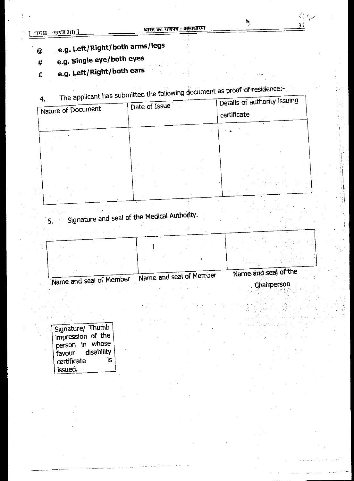31

# **© e.g. Left/Right/both arms/legs**

- **# e.g. Single eye/both eyes**
- **£ e.g. Left/Right/both ears**
- $T_{\text{the}}$  applicant has submitted the following document as proof of residence.

| 4.<br>The applicant has submitted<br>Nature of Document | Date of Issue | Details of authority issuing<br>certificate |
|---------------------------------------------------------|---------------|---------------------------------------------|
|                                                         |               |                                             |
|                                                         |               |                                             |
|                                                         |               |                                             |

Signature and seal of the Medical Autho  $5.$ 

Name and seal of the Chairperson Name and seal of Member Name and seal of Member

Signature/ Thumb impression of the person in whose<br>favour disability disability<br>is certificate issued.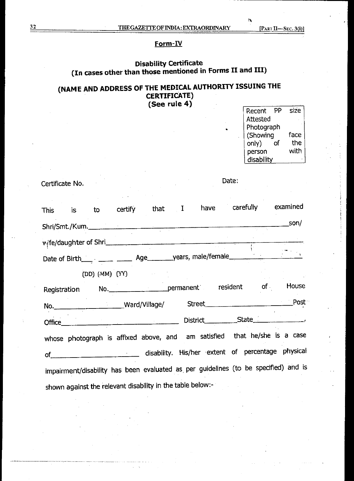'n

## **Form-IV**

### **Disability Certificate (In cases other than those mentioned in Forms II and III)**

## **(NAME AND ADDRESS OF THE MEDICAL AUTHORITY ISSUING THE CERTIFICATE) (See rule 4)**

| . . | PP<br>Recent | size |
|-----|--------------|------|
|     | Attested     |      |
|     | Photograph   |      |
|     | (Showing     | face |
|     | only)        | the  |
|     | person       | with |
|     | disability   |      |
|     |              |      |
|     |              |      |

Certificate No. Date.

|  |                | This is to certify that I have                             |  | carefully examined                                                                  |  |
|--|----------------|------------------------------------------------------------|--|-------------------------------------------------------------------------------------|--|
|  |                |                                                            |  |                                                                                     |  |
|  |                | wife/daughter of Shri                                      |  |                                                                                     |  |
|  |                |                                                            |  | Date of Birth____ ____ _____ Age_______ years, male/female_______________________   |  |
|  | (DD) (MM) (YY) |                                                            |  |                                                                                     |  |
|  |                |                                                            |  | Registration No. permanent resident of House                                        |  |
|  |                |                                                            |  |                                                                                     |  |
|  |                |                                                            |  |                                                                                     |  |
|  |                |                                                            |  | whose photograph is affixed above, and am satisfied that he/she is a case           |  |
|  |                |                                                            |  | of extent of percentage physical disability. His/her extent of percentage physical  |  |
|  |                |                                                            |  | impairment/disability has been evaluated as per guidelines (to be specified) and is |  |
|  |                | shown against the relevant disability in the table below:- |  |                                                                                     |  |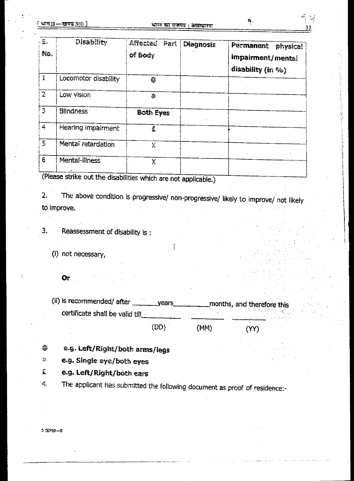| $\mathbb{S}$ .<br>No. | <b>Disability</b>    | Affected Part<br>of Body | <b>Diagnosis</b> | Permanent<br><b>physical</b><br>impairment/mental<br>disability (in $\%$ ) |
|-----------------------|----------------------|--------------------------|------------------|----------------------------------------------------------------------------|
| 1                     | Locomotor disability |                          |                  |                                                                            |
| $\overline{2}$        | Low vision           | Ą.                       |                  |                                                                            |
| $\mathfrak{Z}$        | <b>Blindness</b>     | <b>Both Eyes</b>         |                  |                                                                            |
| 4                     | Hearing impairment   | £                        |                  |                                                                            |
| 5                     | Mental retardation   | Χ                        |                  |                                                                            |
| $\epsilon$            | Mental-illness       | X                        |                  |                                                                            |

(Please strike out the disabilities which are not applicable.)

2. The above condition is progressive/ non-progressive/ **likely to improve/ not likely**  to improve.

3. Reassessment of disability is :

- (i) not necessary,
	- Or

(ii) is recommended/ after \_\_\_\_\_\_\_\_\_ years \_\_\_\_\_\_\_\_\_\_ months, and therefore this certificate shall be valid till (DD) (MM) (VY)

- **e.g. Left/Right/both arms/legs**  ©
- **e.g. Single eye/both eyes**   $\frac{d}{d\phi}$
- Ê **e.g. Left/Right/both ears**
- The applicant has submitted the following document as proof of residence:- Ę.

 $3 Q/10 - 5$